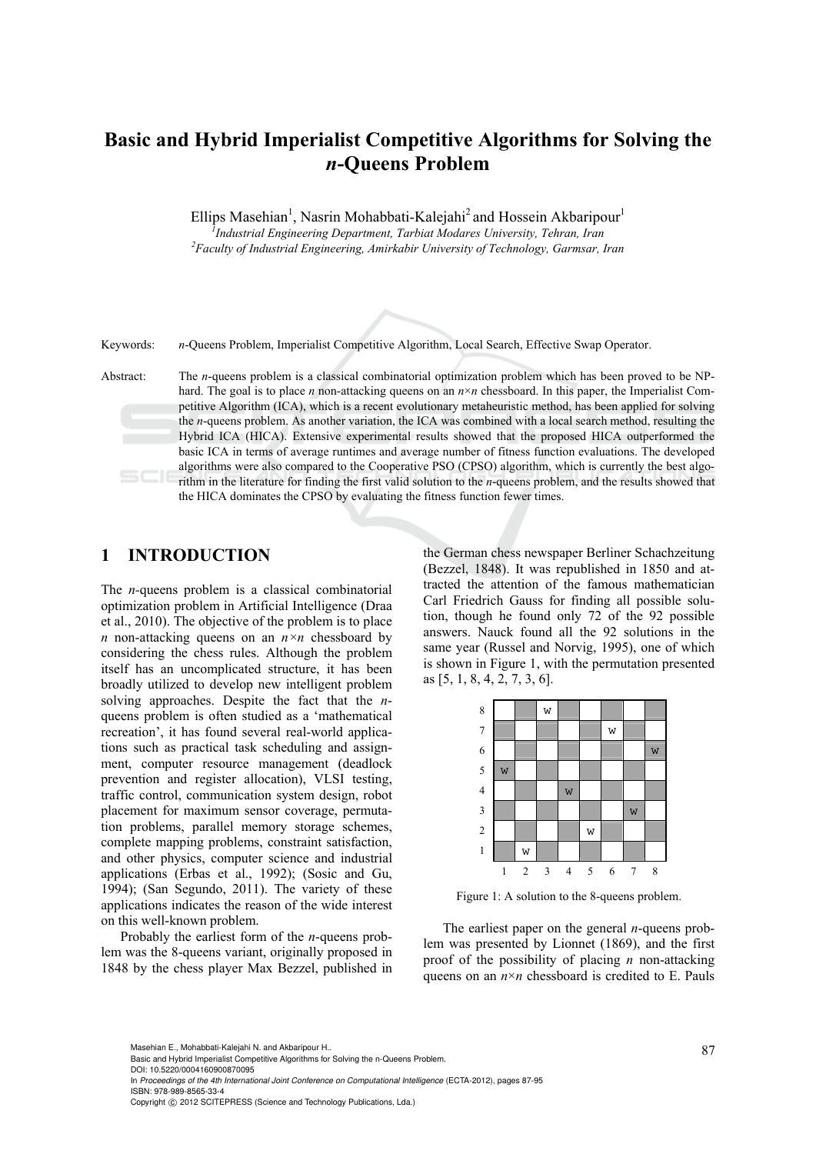# **Basic and Hybrid Imperialist Competitive Algorithms for Solving the**  *n***-Queens Problem**

Ellips Masehian<sup>1</sup>, Nasrin Mohabbati-Kalejahi<sup>2</sup> and Hossein Akbaripour<sup>1</sup> <sup>7</sup> Industrial Engineering Department, Tarbiat Modares University, Tehran, Iran 2 Equalty of Industrial Engineering Amirkabir University of Technology Cannear *Faculty of Industrial Engineering, Amirkabir University of Technology, Garmsar, Iran* 

Keywords: *n*-Queens Problem, Imperialist Competitive Algorithm, Local Search, Effective Swap Operator.

Abstract: The *n*-queens problem is a classical combinatorial optimization problem which has been proved to be NPhard. The goal is to place *n* non-attacking queens on an  $n \times n$  chessboard. In this paper, the Imperialist Competitive Algorithm (ICA), which is a recent evolutionary metaheuristic method, has been applied for solving the *n*-queens problem. As another variation, the ICA was combined with a local search method, resulting the Hybrid ICA (HICA). Extensive experimental results showed that the proposed HICA outperformed the basic ICA in terms of average runtimes and average number of fitness function evaluations. The developed algorithms were also compared to the Cooperative PSO (CPSO) algorithm, which is currently the best algorithm in the literature for finding the first valid solution to the *n*-queens problem, and the results showed that the HICA dominates the CPSO by evaluating the fitness function fewer times.

# **1 INTRODUCTION**

The *n-*queens problem is a classical combinatorial optimization problem in Artificial Intelligence (Draa et al., 2010). The objective of the problem is to place *n* non-attacking queens on an  $n \times n$  chessboard by considering the chess rules. Although the problem itself has an uncomplicated structure, it has been broadly utilized to develop new intelligent problem solving approaches. Despite the fact that the *n*queens problem is often studied as a 'mathematical recreation', it has found several real-world applications such as practical task scheduling and assignment, computer resource management (deadlock prevention and register allocation), VLSI testing, traffic control, communication system design, robot placement for maximum sensor coverage, permutation problems, parallel memory storage schemes, complete mapping problems, constraint satisfaction, and other physics, computer science and industrial applications (Erbas et al., 1992); (Sosic and Gu, 1994); (San Segundo, 2011). The variety of these applications indicates the reason of the wide interest on this well-known problem.

Probably the earliest form of the *n*-queens problem was the 8-queens variant, originally proposed in 1848 by the chess player Max Bezzel, published in

the German chess newspaper Berliner Schachzeitung (Bezzel, 1848). It was republished in 1850 and attracted the attention of the famous mathematician Carl Friedrich Gauss for finding all possible solution, though he found only 72 of the 92 possible answers. Nauck found all the 92 solutions in the same year (Russel and Norvig, 1995), one of which is shown in Figure 1, with the permutation presented as [5, 1, 8, 4, 2, 7, 3, 6].



Figure 1: A solution to the 8-queens problem.

The earliest paper on the general *n*-queens problem was presented by Lionnet (1869), and the first proof of the possibility of placing *n* non-attacking queens on an  $n \times n$  chessboard is credited to E. Pauls

DOI: 10.5220/0004160900870095

<sup>87</sup> Masehian E., Mohabbati-Kalejahi N. and Akbaripour H.. Basic and Hybrid Imperialist Competitive Algorithms for Solving the n-Queens Problem.

In *Proceedings of the 4th International Joint Conference on Computational Intelligence* (ECTA-2012), pages 87-95 ISBN: 978-989-8565-33-4

Copyright © 2012 SCITEPRESS (Science and Technology Publications, Lda.)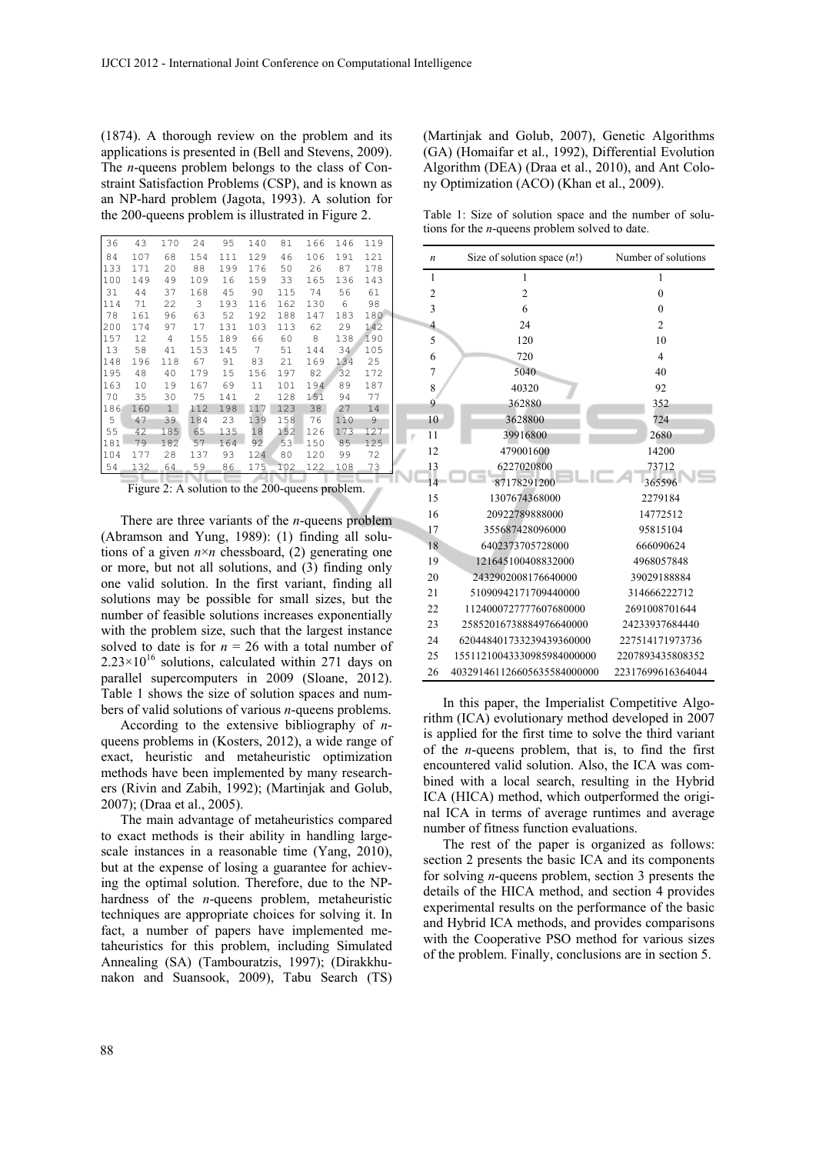(1874). A thorough review on the problem and its applications is presented in (Bell and Stevens, 2009). The *n*-queens problem belongs to the class of Constraint Satisfaction Problems (CSP), and is known as an NP-hard problem (Jagota, 1993). A solution for the 200-queens problem is illustrated in Figure 2.

| 36  | 43  | 170            | 24  | 95  | 140            | 81  | 166 | 146 | 119 |
|-----|-----|----------------|-----|-----|----------------|-----|-----|-----|-----|
| 84  | 107 | 68             | 154 | 111 | 129            | 46  | 106 | 191 | 121 |
| 133 | 171 | 20             | 88  | 199 | 176            | 50  | 26  | 87  | 178 |
| 100 | 149 | 49             | 109 | 16  | 159            | 33  | 165 | 136 | 143 |
| 31  | 44  | 37             | 168 | 45  | 90             | 115 | 74  | 56  | 61  |
| 114 | 71  | 22             | 3   | 193 | 116            | 162 | 130 | 6   | 98  |
| 78  | 161 | 96             | 63  | 52  | 192            | 188 | 147 | 183 | 180 |
| 200 | 174 | 97             | 17  | 131 | 103            | 113 | 62  | 29  | 142 |
| 157 | 12  | $\overline{4}$ | 155 | 189 | 66             | 60  | 8   | 138 | 190 |
| 13  | 58  | 41             | 153 | 145 | 7              | 51  | 144 | 34  | 105 |
| 148 | 196 | 118            | 67  | 91  | 83             | 21  | 169 | 134 | 25  |
| 195 | 48  | 40             | 179 | 15  | 156            | 197 | 82  | 32  | 172 |
| 163 | 10  | 19             | 167 | 69  | 11             | 101 | 194 | 89  | 187 |
| 70  | 35  | 30             | 75  | 141 | $\overline{c}$ | 128 | 151 | 94  | 77  |
| 186 | 160 | $\mathbf{1}$   | 112 | 198 | 117            | 123 | 38  | 27  | 14  |
| 5   | 47  | 39             | 184 | 23  | 139            | 158 | 76  | 110 | 9   |
| 55  | 42  | 185            | 65  | 135 | 18             | 152 | 126 | 173 | 127 |
| 181 | 79  | 182            | 57  | 164 | 92             | 53  | 150 | 85  | 125 |
| 104 | 177 | 28             | 137 | 93  | 124            | 80  | 120 | 99  | 72  |
| 54  | 132 | 64             | 59  | 86  | 175            | 102 | 122 | 108 | 73  |
|     |     |                |     |     |                |     |     |     |     |

Figure 2: A solution to the 200-queens problem.

There are three variants of the *n*-queens problem (Abramson and Yung, 1989): (1) finding all solutions of a given  $n \times n$  chessboard, (2) generating one or more, but not all solutions, and (3) finding only one valid solution. In the first variant, finding all solutions may be possible for small sizes, but the number of feasible solutions increases exponentially with the problem size, such that the largest instance solved to date is for  $n = 26$  with a total number of  $2.23 \times 10^{16}$  solutions, calculated within 271 days on parallel supercomputers in 2009 (Sloane, 2012). Table 1 shows the size of solution spaces and numbers of valid solutions of various *n*-queens problems.

According to the extensive bibliography of *n*queens problems in (Kosters, 2012), a wide range of exact, heuristic and metaheuristic optimization methods have been implemented by many researchers (Rivin and Zabih, 1992); (Martinjak and Golub, 2007); (Draa et al., 2005).

The main advantage of metaheuristics compared to exact methods is their ability in handling largescale instances in a reasonable time (Yang, 2010), but at the expense of losing a guarantee for achieving the optimal solution. Therefore, due to the NPhardness of the *n*-queens problem, metaheuristic techniques are appropriate choices for solving it. In fact, a number of papers have implemented metaheuristics for this problem, including Simulated Annealing (SA) (Tambouratzis, 1997); (Dirakkhunakon and Suansook, 2009), Tabu Search (TS) (Martinjak and Golub, 2007), Genetic Algorithms (GA) (Homaifar et al., 1992), Differential Evolution Algorithm (DEA) (Draa et al., 2010), and Ant Colony Optimization (ACO) (Khan et al., 2009).

Table 1: Size of solution space and the number of solutions for the *n*-queens problem solved to date.

| n              | Size of solution space $(n!)$ | Number of solutions |
|----------------|-------------------------------|---------------------|
| $\mathbf{1}$   | $\mathbf{1}$                  | 1                   |
| $\overline{2}$ | $\overline{2}$                | $\theta$            |
| 3              | 6                             | $\mathbf{0}$        |
| $\overline{4}$ | 24                            | $\overline{2}$      |
| 5              | 120                           | 10                  |
| 6              | 720                           | $\overline{4}$      |
| 7              | 5040                          | 40                  |
| 8              | 40320                         | 92                  |
| 9              | 362880                        | 352                 |
| 10             | 3628800                       | 724                 |
| 11             | 39916800                      | 2680                |
| 12             | 479001600                     | 14200               |
| 13             | 6227020800                    | 73712               |
| 14             | 87178291200                   | 365596              |
| 15             | 1307674368000                 | 2279184             |
| 16             | 20922789888000                | 14772512            |
| 17             | 355687428096000               | 95815104            |
| 18             | 6402373705728000              | 666090624           |
| 19             | 121645100408832000            | 4968057848          |
| 20             | 2432902008176640000           | 39029188884         |
| 21             | 51090942171709440000          | 314666222712        |
| 22             | 1124000727777607680000        | 2691008701644       |
| 23             | 25852016738884976640000       | 24233937684440      |
| 24             | 620448401733239439360000      | 227514171973736     |
| 25             | 15511210043330985984000000    | 2207893435808352    |
| 26             | 403291461126605635584000000   | 22317699616364044   |

In this paper, the Imperialist Competitive Algorithm (ICA) evolutionary method developed in 2007 is applied for the first time to solve the third variant of the *n*-queens problem, that is, to find the first encountered valid solution. Also, the ICA was combined with a local search, resulting in the Hybrid ICA (HICA) method, which outperformed the original ICA in terms of average runtimes and average number of fitness function evaluations.

The rest of the paper is organized as follows: section 2 presents the basic ICA and its components for solving *n*-queens problem, section 3 presents the details of the HICA method, and section 4 provides experimental results on the performance of the basic and Hybrid ICA methods, and provides comparisons with the Cooperative PSO method for various sizes of the problem. Finally, conclusions are in section 5.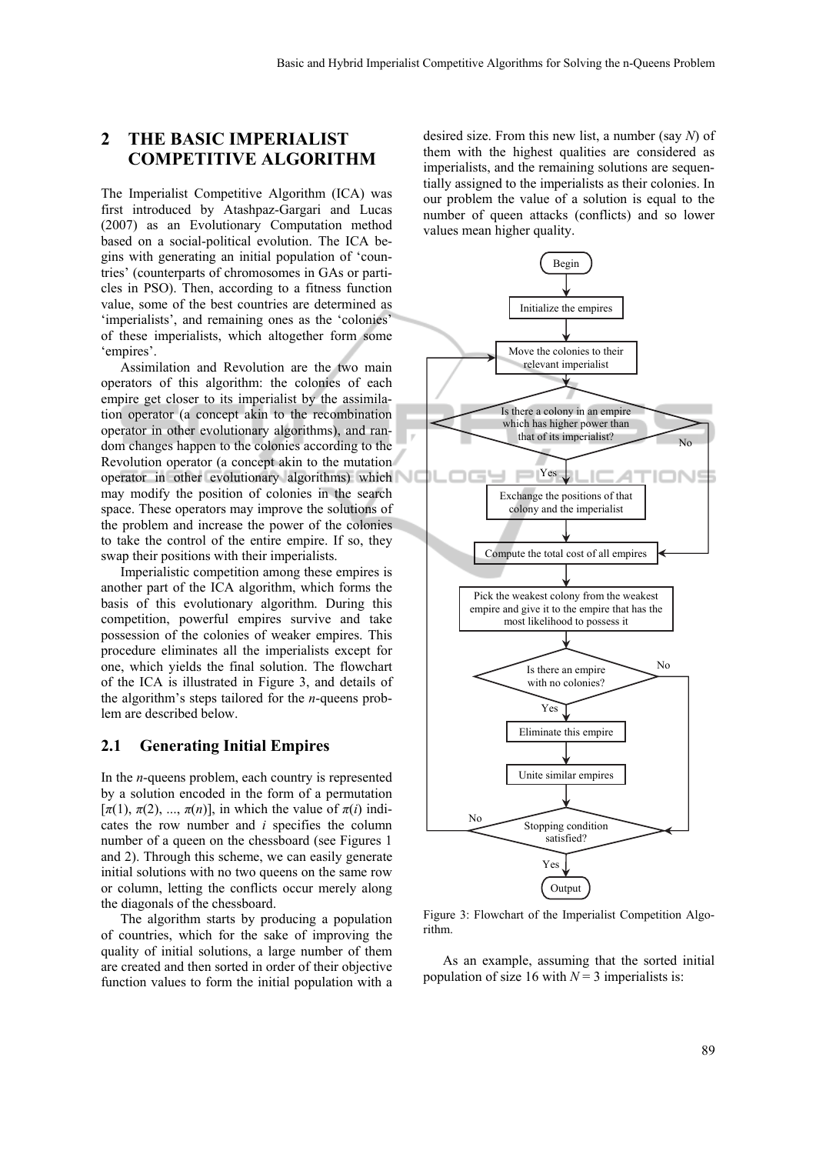# **2 THE BASIC IMPERIALIST COMPETITIVE ALGORITHM**

The Imperialist Competitive Algorithm (ICA) was first introduced by Atashpaz-Gargari and Lucas (2007) as an Evolutionary Computation method based on a social-political evolution. The ICA begins with generating an initial population of 'countries' (counterparts of chromosomes in GAs or particles in PSO). Then, according to a fitness function value, some of the best countries are determined as 'imperialists', and remaining ones as the 'colonies' of these imperialists, which altogether form some 'empires'.

Assimilation and Revolution are the two main operators of this algorithm: the colonies of each empire get closer to its imperialist by the assimilation operator (a concept akin to the recombination operator in other evolutionary algorithms), and random changes happen to the colonies according to the Revolution operator (a concept akin to the mutation operator in other evolutionary algorithms) which may modify the position of colonies in the search space. These operators may improve the solutions of the problem and increase the power of the colonies to take the control of the entire empire. If so, they swap their positions with their imperialists.

Imperialistic competition among these empires is another part of the ICA algorithm, which forms the basis of this evolutionary algorithm. During this competition, powerful empires survive and take possession of the colonies of weaker empires. This procedure eliminates all the imperialists except for one, which yields the final solution. The flowchart of the ICA is illustrated in Figure 3, and details of the algorithm's steps tailored for the *n*-queens problem are described below.

#### **2.1 Generating Initial Empires**

In the *n*-queens problem, each country is represented by a solution encoded in the form of a permutation  $[\pi(1), \pi(2), \dots, \pi(n)]$ , in which the value of  $\pi(i)$  indicates the row number and *i* specifies the column number of a queen on the chessboard (see Figures 1 and 2). Through this scheme, we can easily generate initial solutions with no two queens on the same row or column, letting the conflicts occur merely along the diagonals of the chessboard.

The algorithm starts by producing a population of countries, which for the sake of improving the quality of initial solutions, a large number of them are created and then sorted in order of their objective function values to form the initial population with a

desired size. From this new list, a number (say *N*) of them with the highest qualities are considered as imperialists, and the remaining solutions are sequentially assigned to the imperialists as their colonies. In our problem the value of a solution is equal to the number of queen attacks (conflicts) and so lower values mean higher quality.



Figure 3: Flowchart of the Imperialist Competition Algorithm.

As an example, assuming that the sorted initial population of size 16 with  $N = 3$  imperialists is: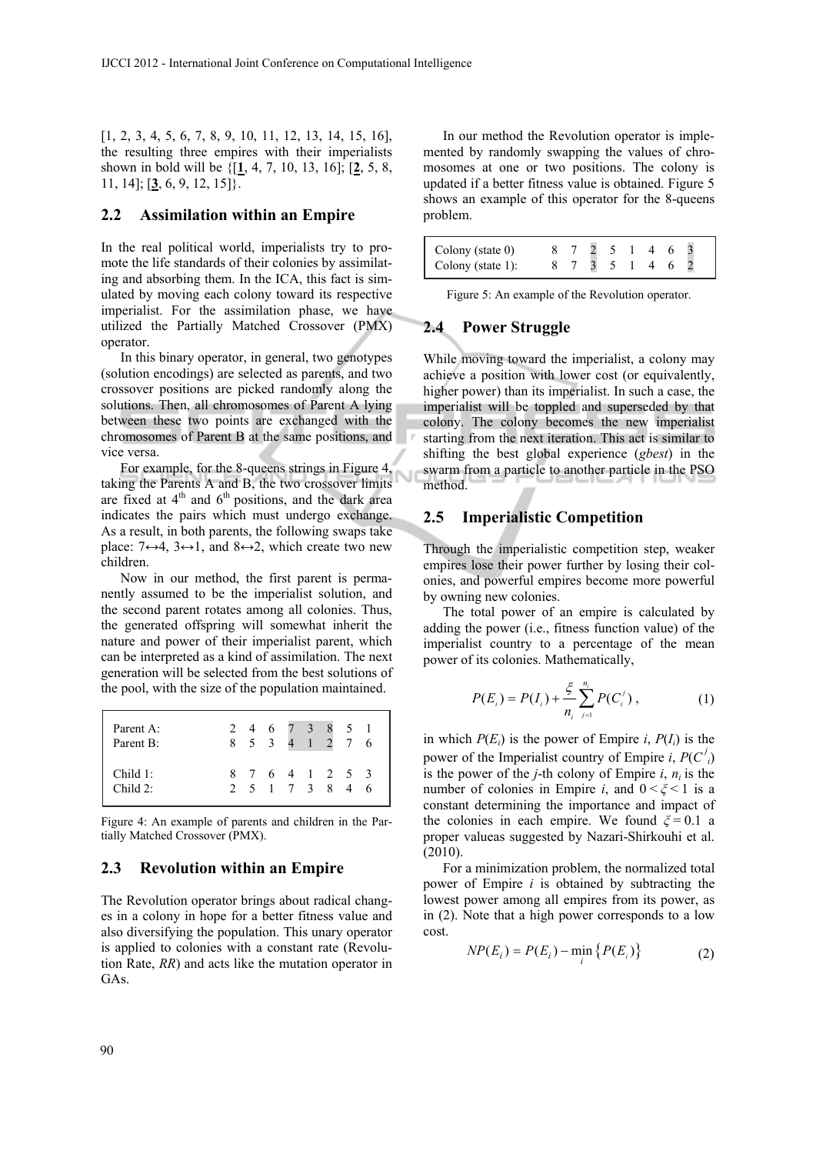[1, 2, 3, 4, 5, 6, 7, 8, 9, 10, 11, 12, 13, 14, 15, 16], the resulting three empires with their imperialists shown in bold will be {[**1**, 4, 7, 10, 13, 16]; [**2**, 5, 8, 11, 14]; [**3**, 6, 9, 12, 15]}.

#### **2.2 Assimilation within an Empire**

In the real political world, imperialists try to promote the life standards of their colonies by assimilating and absorbing them. In the ICA, this fact is simulated by moving each colony toward its respective imperialist. For the assimilation phase, we have utilized the Partially Matched Crossover (PMX) operator.

In this binary operator, in general, two genotypes (solution encodings) are selected as parents, and two crossover positions are picked randomly along the solutions. Then, all chromosomes of Parent A lying between these two points are exchanged with the chromosomes of Parent B at the same positions, and vice versa.

For example, for the 8-queens strings in Figure 4, taking the Parents A and B, the two crossover limits are fixed at  $4<sup>th</sup>$  and  $6<sup>th</sup>$  positions, and the dark area indicates the pairs which must undergo exchange. As a result, in both parents, the following swaps take place:  $7 \leftrightarrow 4$ ,  $3 \leftrightarrow 1$ , and  $8 \leftrightarrow 2$ , which create two new children.

Now in our method, the first parent is permanently assumed to be the imperialist solution, and the second parent rotates among all colonies. Thus, the generated offspring will somewhat inherit the nature and power of their imperialist parent, which can be interpreted as a kind of assimilation. The next generation will be selected from the best solutions of the pool, with the size of the population maintained.

| Parent A:<br>Parent B:        |  |  | 2 4 6 7 3 8 5 1<br>8 5 3 4 1 2 7 6 |  |  |
|-------------------------------|--|--|------------------------------------|--|--|
| Child 1:<br>Child $2^{\circ}$ |  |  | 8 7 6 4 1 2 5 3<br>2 5 1 7 3 8 4 6 |  |  |

Figure 4: An example of parents and children in the Partially Matched Crossover (PMX).

#### **2.3 Revolution within an Empire**

The Revolution operator brings about radical changes in a colony in hope for a better fitness value and also diversifying the population. This unary operator is applied to colonies with a constant rate (Revolution Rate, *RR*) and acts like the mutation operator in GAs.

In our method the Revolution operator is implemented by randomly swapping the values of chromosomes at one or two positions. The colony is updated if a better fitness value is obtained. Figure 5 shows an example of this operator for the 8-queens problem.

| Colony (state $0$ )  |  | $\sim$ 5 |  |  |  |
|----------------------|--|----------|--|--|--|
| Colony (state $1$ ): |  |          |  |  |  |

Figure 5: An example of the Revolution operator.

#### **2.4 Power Struggle**

While moving toward the imperialist, a colony may achieve a position with lower cost (or equivalently, higher power) than its imperialist. In such a case, the imperialist will be toppled and superseded by that colony. The colony becomes the new imperialist starting from the next iteration. This act is similar to shifting the best global experience (*gbest*) in the swarm from a particle to another particle in the PSO method.

#### **2.5 Imperialistic Competition**

Through the imperialistic competition step, weaker empires lose their power further by losing their colonies, and powerful empires become more powerful by owning new colonies.

The total power of an empire is calculated by adding the power (i.e., fitness function value) of the imperialist country to a percentage of the mean power of its colonies. Mathematically,

$$
P(E_i) = P(I_i) + \frac{\xi}{n_i} \sum_{j=1}^{n_i} P(C_i^j), \qquad (1)
$$

in which  $P(E_i)$  is the power of Empire *i*,  $P(I_i)$  is the power of the Imperialist country of Empire *i*,  $P(C<sup>j</sup>)$ is the power of the *j*-th colony of Empire  $i$ ,  $n_i$  is the number of colonies in Empire *i*, and  $0 < \xi < 1$  is a constant determining the importance and impact of the colonies in each empire. We found *ξ* = 0.1 a proper valueas suggested by Nazari-Shirkouhi et al. (2010).

For a minimization problem, the normalized total power of Empire *i* is obtained by subtracting the lowest power among all empires from its power, as in (2). Note that a high power corresponds to a low cost.

$$
NP(E_i) = P(E_i) - \min_i \{P(E_i)\}
$$
 (2)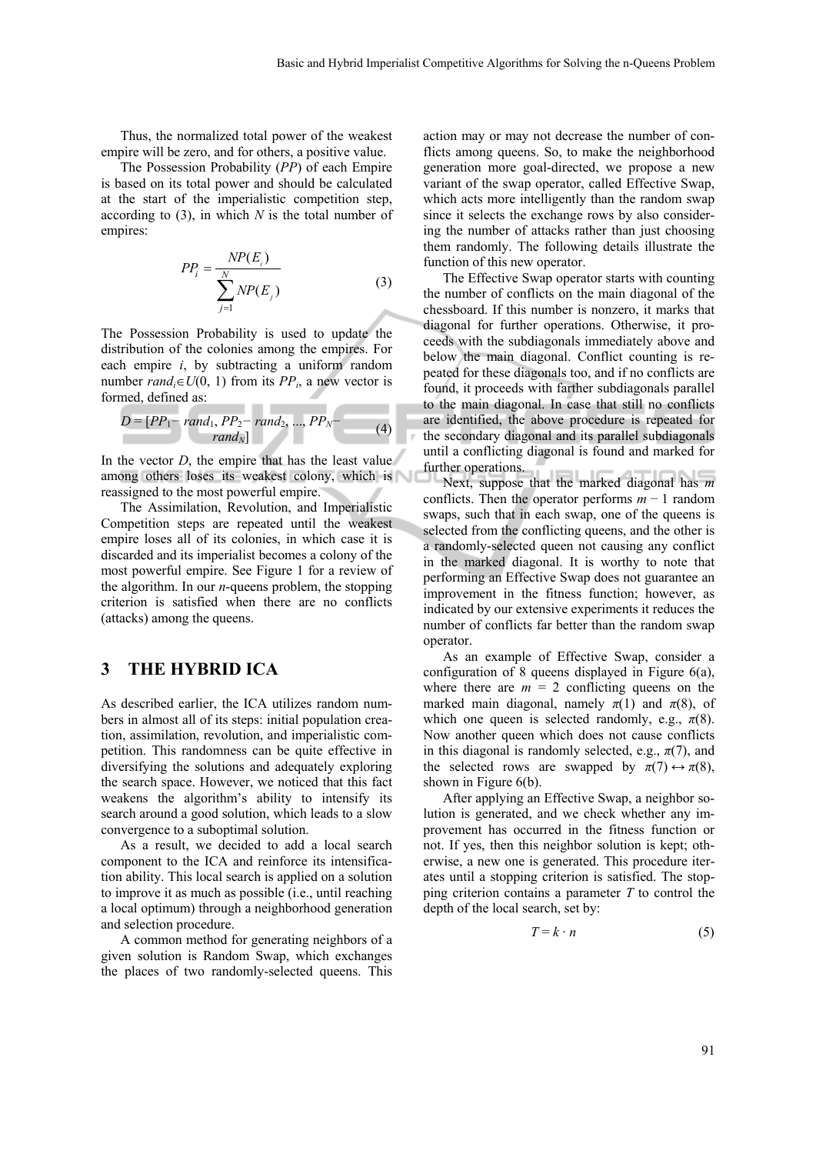Thus, the normalized total power of the weakest empire will be zero, and for others, a positive value.

The Possession Probability (*PP*) of each Empire is based on its total power and should be calculated at the start of the imperialistic competition step, according to (3), in which *N* is the total number of empires:

$$
PP_i = \frac{NP(E_i)}{\sum_{j=1}^{N} NP(E_j)}
$$
(3)

The Possession Probability is used to update the distribution of the colonies among the empires. For each empire *i*, by subtracting a uniform random number  $rand_i \in U(0, 1)$  from its  $PP_i$ , a new vector is formed, defined as: **Contract Contract** 

$$
D = [PP_1 - rand_1, PP_2 - rand_2, ..., PP_N - rand_N]
$$
\n
$$
rand_N]
$$
\n(4)

In the vector  $D$ , the empire that has the least value among others loses its weakest colony, which is reassigned to the most powerful empire.

The Assimilation, Revolution, and Imperialistic Competition steps are repeated until the weakest empire loses all of its colonies, in which case it is discarded and its imperialist becomes a colony of the most powerful empire. See Figure 1 for a review of the algorithm. In our *n*-queens problem, the stopping criterion is satisfied when there are no conflicts (attacks) among the queens.

# **3 THE HYBRID ICA**

As described earlier, the ICA utilizes random numbers in almost all of its steps: initial population creation, assimilation, revolution, and imperialistic competition. This randomness can be quite effective in diversifying the solutions and adequately exploring the search space. However, we noticed that this fact weakens the algorithm's ability to intensify its search around a good solution, which leads to a slow convergence to a suboptimal solution.

As a result, we decided to add a local search component to the ICA and reinforce its intensification ability. This local search is applied on a solution to improve it as much as possible (i.e., until reaching a local optimum) through a neighborhood generation and selection procedure.

A common method for generating neighbors of a given solution is Random Swap, which exchanges the places of two randomly-selected queens. This action may or may not decrease the number of conflicts among queens. So, to make the neighborhood generation more goal-directed, we propose a new variant of the swap operator, called Effective Swap, which acts more intelligently than the random swap since it selects the exchange rows by also considering the number of attacks rather than just choosing them randomly. The following details illustrate the function of this new operator.

The Effective Swap operator starts with counting the number of conflicts on the main diagonal of the chessboard. If this number is nonzero, it marks that diagonal for further operations. Otherwise, it proceeds with the subdiagonals immediately above and below the main diagonal. Conflict counting is repeated for these diagonals too, and if no conflicts are found, it proceeds with farther subdiagonals parallel to the main diagonal. In case that still no conflicts are identified, the above procedure is repeated for the secondary diagonal and its parallel subdiagonals until a conflicting diagonal is found and marked for further operations.

Next, suppose that the marked diagonal has *m* conflicts. Then the operator performs *m* − 1 random swaps, such that in each swap, one of the queens is selected from the conflicting queens, and the other is a randomly-selected queen not causing any conflict in the marked diagonal. It is worthy to note that performing an Effective Swap does not guarantee an improvement in the fitness function; however, as indicated by our extensive experiments it reduces the number of conflicts far better than the random swap operator.

As an example of Effective Swap, consider a configuration of 8 queens displayed in Figure 6(a), where there are  $m = 2$  conflicting queens on the marked main diagonal, namely  $\pi(1)$  and  $\pi(8)$ , of which one queen is selected randomly, e.g.,  $\pi(8)$ . Now another queen which does not cause conflicts in this diagonal is randomly selected, e.g.,  $\pi(7)$ , and the selected rows are swapped by  $\pi(7) \leftrightarrow \pi(8)$ , shown in Figure 6(b).

After applying an Effective Swap, a neighbor solution is generated, and we check whether any improvement has occurred in the fitness function or not. If yes, then this neighbor solution is kept; otherwise, a new one is generated. This procedure iterates until a stopping criterion is satisfied. The stopping criterion contains a parameter *T* to control the depth of the local search, set by:

$$
T = k \cdot n \tag{5}
$$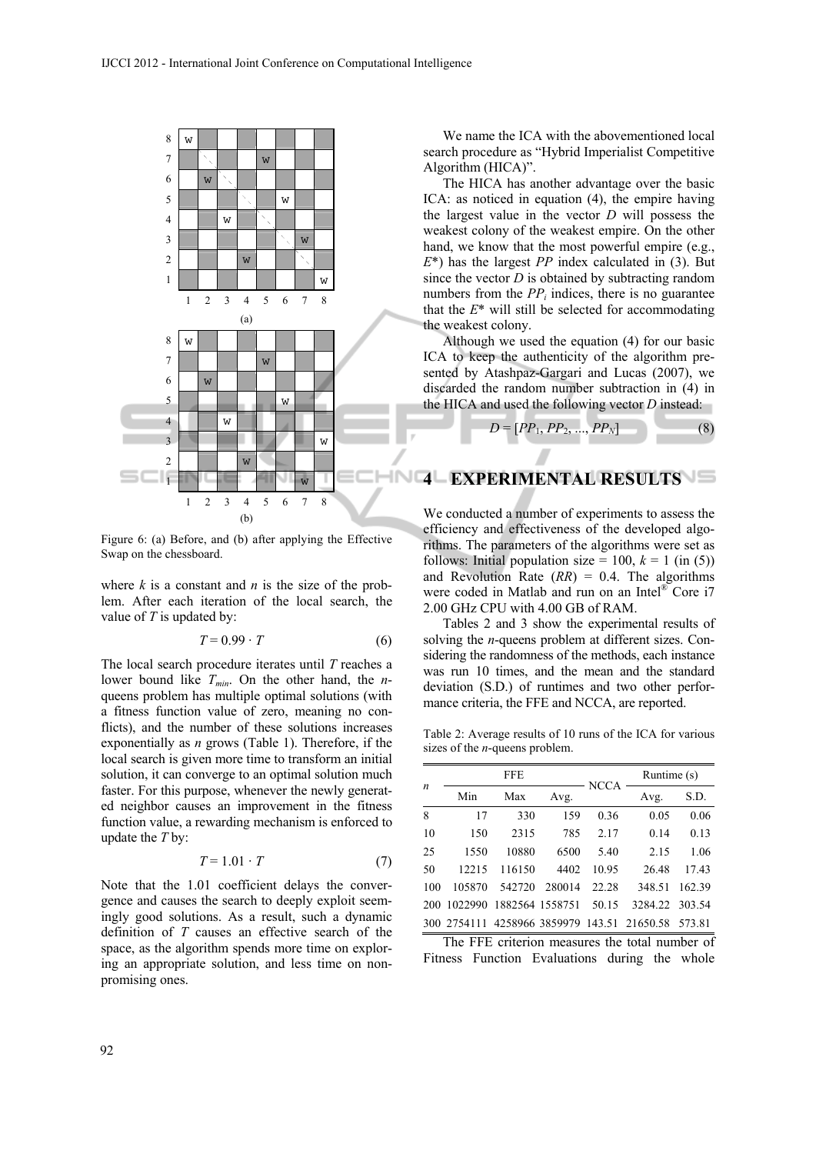

Figure 6: (a) Before, and (b) after applying the Effective Swap on the chessboard.

where *k* is a constant and *n* is the size of the problem. After each iteration of the local search, the value of *T* is updated by:

$$
T = 0.99 \cdot T \tag{6}
$$

The local search procedure iterates until *T* reaches a lower bound like  $T_{min}$ . On the other hand, the *n*queens problem has multiple optimal solutions (with a fitness function value of zero, meaning no conflicts), and the number of these solutions increases exponentially as *n* grows (Table 1). Therefore, if the local search is given more time to transform an initial solution, it can converge to an optimal solution much faster. For this purpose, whenever the newly generated neighbor causes an improvement in the fitness function value, a rewarding mechanism is enforced to update the *T* by:

$$
T = 1.01 \cdot T \tag{7}
$$

Note that the 1.01 coefficient delays the convergence and causes the search to deeply exploit seemingly good solutions. As a result, such a dynamic definition of *T* causes an effective search of the space, as the algorithm spends more time on exploring an appropriate solution, and less time on nonpromising ones.

We name the ICA with the abovementioned local search procedure as "Hybrid Imperialist Competitive Algorithm (HICA)".

The HICA has another advantage over the basic ICA: as noticed in equation (4), the empire having the largest value in the vector *D* will possess the weakest colony of the weakest empire. On the other hand, we know that the most powerful empire (e.g., *E*\*) has the largest *PP* index calculated in (3). But since the vector *D* is obtained by subtracting random numbers from the  $PP_i$  indices, there is no guarantee that the *E*\* will still be selected for accommodating the weakest colony.

Although we used the equation (4) for our basic ICA to keep the authenticity of the algorithm presented by Atashpaz-Gargari and Lucas (2007), we discarded the random number subtraction in (4) in the HICA and used the following vector *D* instead:

$$
D = [PP_1, PP_2, ..., PP_N]
$$
 (8)

# **4 EXPERIMENTAL RESULTS**

We conducted a number of experiments to assess the efficiency and effectiveness of the developed algorithms. The parameters of the algorithms were set as follows: Initial population size =  $100$ ,  $k = 1$  (in (5)) and Revolution Rate  $(RR) = 0.4$ . The algorithms were coded in Matlab and run on an Intel<sup>®</sup> Core i7 2.00 GHz CPU with 4.00 GB of RAM.

Tables 2 and 3 show the experimental results of solving the *n*-queens problem at different sizes. Considering the randomness of the methods, each instance was run 10 times, and the mean and the standard deviation (S.D.) of runtimes and two other performance criteria, the FFE and NCCA, are reported.

Table 2: Average results of 10 runs of the ICA for various sizes of the *n*-queens problem.

| $\boldsymbol{n}$ |                               | <b>FFE</b> |        | <b>NCCA</b> |                                                    | Runtime (s) |  |
|------------------|-------------------------------|------------|--------|-------------|----------------------------------------------------|-------------|--|
|                  | Min                           | Max        | Avg.   |             | Avg.                                               | S.D.        |  |
| 8                | 17                            | 330        | 159    | 0.36        | 0.05                                               | 0.06        |  |
| 10               | 150                           | 2315       | 785    | 2.17        | 0.14                                               | 0.13        |  |
| 25               | 1550                          | 10880      | 6500   | 5.40        | 2.15                                               | 1.06        |  |
| 50               | 12215                         | 116150     | 4402   | 10.95       | 26.48                                              | 17.43       |  |
| 100              | 105870                        | 542720     | 280014 | 22.28       | 348.51                                             | 162.39      |  |
| 200              | 1022990 1882564 1558751 50.15 |            |        |             | 3284.22 303.54                                     |             |  |
|                  |                               |            |        |             | 300 2754111 4258966 3859979 143.51 21650.58 573.81 |             |  |

The FFE criterion measures the total number of Fitness Function Evaluations during the whole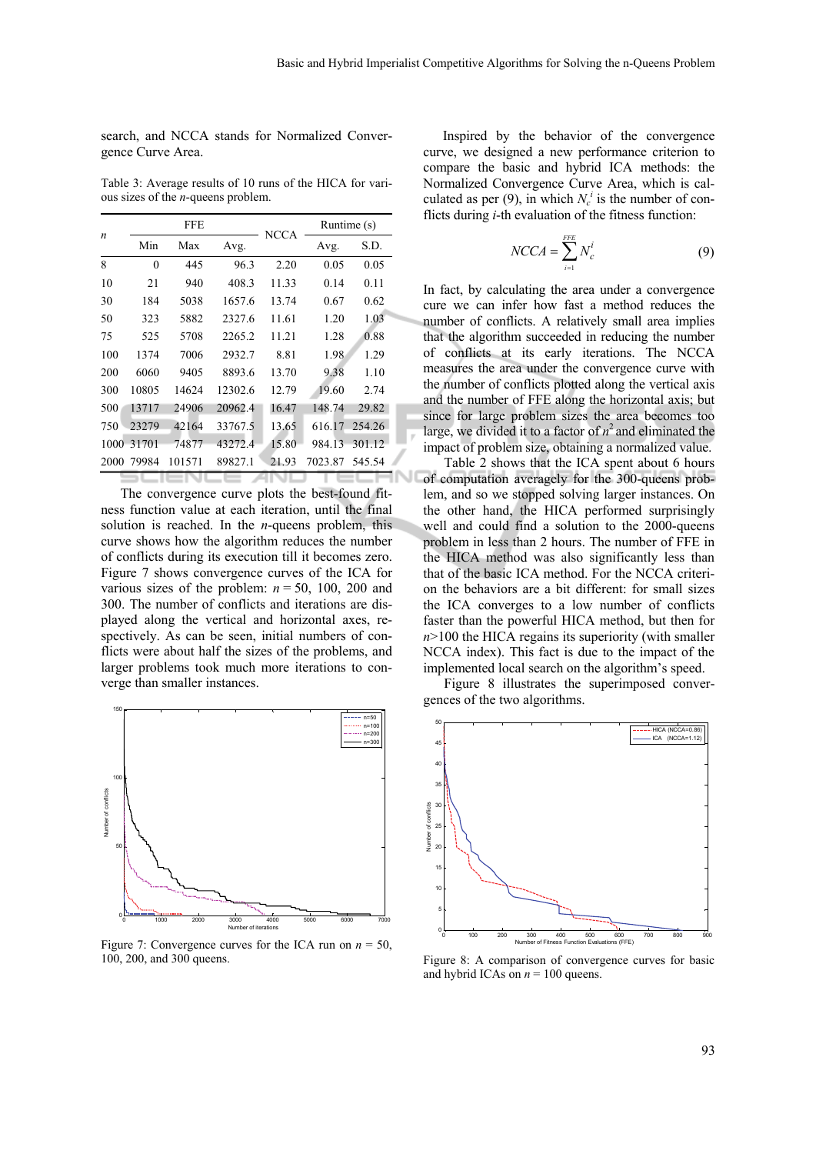search, and NCCA stands for Normalized Convergence Curve Area.

Table 3: Average results of 10 runs of the HICA for various sizes of the *n*-queens problem.

|      |          | <b>FFE</b> |         | <b>NCCA</b> |         | Runtime (s) |
|------|----------|------------|---------|-------------|---------|-------------|
| n    | Min      | Max        | Avg.    |             | Avg.    | S.D.        |
| 8    | $\theta$ | 445        | 96.3    | 2.20        | 0.05    | 0.05        |
| 10   | 21       | 940        | 408.3   | 11.33       | 0.14    | 0.11        |
| 30   | 184      | 5038       | 1657.6  | 13.74       | 0.67    | 0.62        |
| 50   | 323      | 5882       | 2327.6  | 11.61       | 1.20    | 1.03        |
| 75   | 525      | 5708       | 2265.2  | 11.21       | 1.28    | 0.88        |
| 100  | 1374     | 7006       | 2932.7  | 8.81        | 1.98    | 1.29        |
| 200  | 6060     | 9405       | 8893.6  | 13.70       | 9.38    | 1.10        |
| 300  | 10805    | 14624      | 12302.6 | 12.79       | 19.60   | 2.74        |
| 500  | 13717    | 24906      | 20962.4 | 16.47       | 148.74  | 29.82       |
| 750  | 23279    | 42164      | 33767.5 | 13.65       | 616.17  | 254.26      |
| 1000 | 31701    | 74877      | 43272.4 | 15.80       | 984.13  | 301.12      |
| 2000 | 79984    | 101571     | 89827.1 | 21.93       | 7023.87 | 545.54      |
|      |          |            |         |             |         |             |

The convergence curve plots the best-found fitness function value at each iteration, until the final solution is reached. In the *n*-queens problem, this curve shows how the algorithm reduces the number of conflicts during its execution till it becomes zero. Figure 7 shows convergence curves of the ICA for various sizes of the problem:  $n = 50$ , 100, 200 and 300. The number of conflicts and iterations are displayed along the vertical and horizontal axes, respectively. As can be seen, initial numbers of conflicts were about half the sizes of the problems, and larger problems took much more iterations to converge than smaller instances.



Figure 7: Convergence curves for the ICA run on  $n = 50$ , 100, 200, and 300 queens.

Inspired by the behavior of the convergence curve, we designed a new performance criterion to compare the basic and hybrid ICA methods: the Normalized Convergence Curve Area, which is calculated as per (9), in which  $N_c^i$  is the number of conflicts during *i*-th evaluation of the fitness function:

$$
NCCA = \sum_{i=1}^{FFE} N_c^i \tag{9}
$$

In fact, by calculating the area under a convergence cure we can infer how fast a method reduces the number of conflicts. A relatively small area implies that the algorithm succeeded in reducing the number of conflicts at its early iterations. The NCCA measures the area under the convergence curve with the number of conflicts plotted along the vertical axis and the number of FFE along the horizontal axis; but since for large problem sizes the area becomes too large, we divided it to a factor of  $n^2$  and eliminated the impact of problem size, obtaining a normalized value.

Table 2 shows that the ICA spent about 6 hours of computation averagely for the 300-queens problem, and so we stopped solving larger instances. On the other hand, the HICA performed surprisingly well and could find a solution to the 2000-queens problem in less than 2 hours. The number of FFE in the HICA method was also significantly less than that of the basic ICA method. For the NCCA criterion the behaviors are a bit different: for small sizes the ICA converges to a low number of conflicts faster than the powerful HICA method, but then for *n*>100 the HICA regains its superiority (with smaller NCCA index). This fact is due to the impact of the implemented local search on the algorithm's speed.

Figure 8 illustrates the superimposed convergences of the two algorithms.



Figure 8: A comparison of convergence curves for basic and hybrid ICAs on  $n = 100$  queens.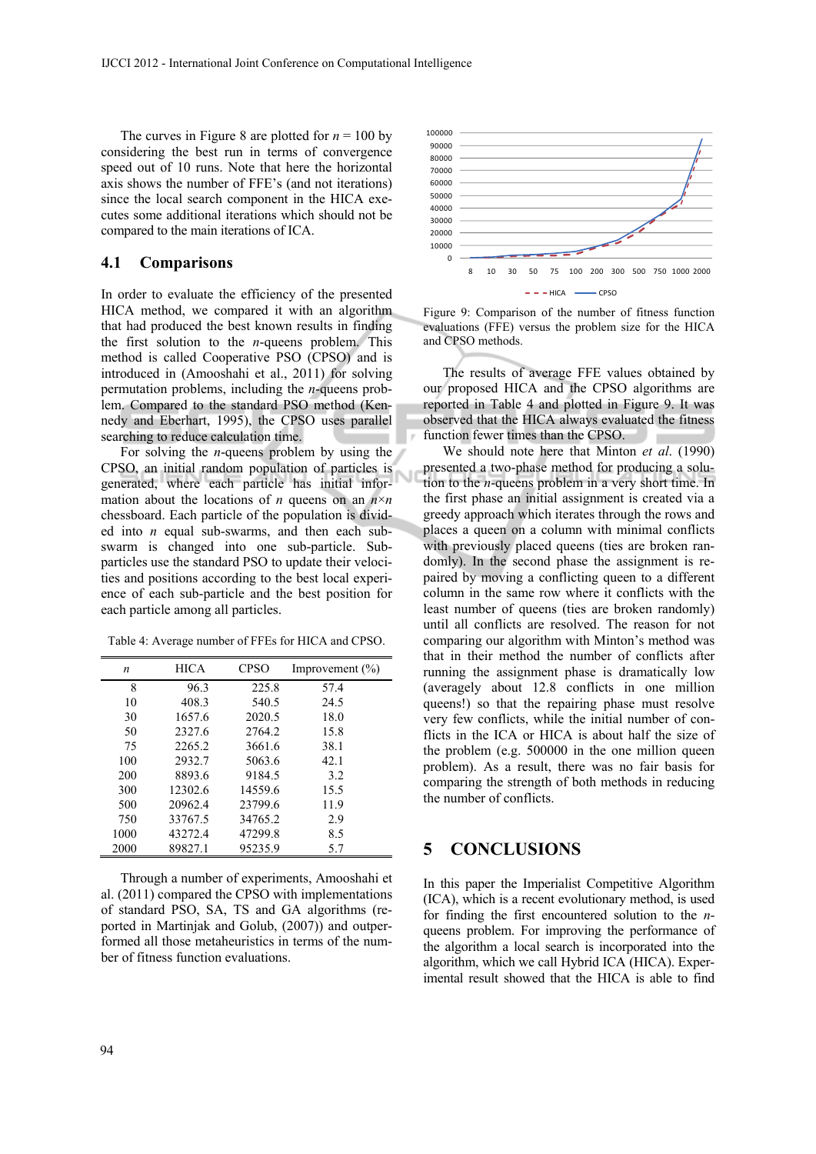The curves in Figure 8 are plotted for  $n = 100$  by considering the best run in terms of convergence speed out of 10 runs. Note that here the horizontal axis shows the number of FFE's (and not iterations) since the local search component in the HICA executes some additional iterations which should not be compared to the main iterations of ICA.

#### **4.1 Comparisons**

In order to evaluate the efficiency of the presented HICA method, we compared it with an algorithm that had produced the best known results in finding the first solution to the *n*-queens problem. This method is called Cooperative PSO (CPSO) and is introduced in (Amooshahi et al., 2011) for solving permutation problems, including the *n*-queens problem. Compared to the standard PSO method (Kennedy and Eberhart, 1995), the CPSO uses parallel searching to reduce calculation time.

For solving the *n*-queens problem by using the CPSO, an initial random population of particles is generated, where each particle has initial information about the locations of *n* queens on an  $n \times n$ chessboard. Each particle of the population is divided into *n* equal sub-swarms, and then each subswarm is changed into one sub-particle. Subparticles use the standard PSO to update their velocities and positions according to the best local experience of each sub-particle and the best position for each particle among all particles.

Table 4: Average number of FFEs for HICA and CPSO.

| n    | HICA    | CPSO    | Improvement $(\% )$ |
|------|---------|---------|---------------------|
| 8    | 96.3    | 225.8   | 57.4                |
| 10   | 408.3   | 540.5   | 24.5                |
| 30   | 1657.6  | 2020.5  | 18.0                |
| 50   | 2327.6  | 2764.2  | 15.8                |
| 75   | 2265.2  | 3661.6  | 38.1                |
| 100  | 2932.7  | 5063.6  | 42.1                |
| 200  | 8893.6  | 9184.5  | 3.2                 |
| 300  | 12302.6 | 14559.6 | 15.5                |
| 500  | 20962.4 | 23799.6 | 11.9                |
| 750  | 33767.5 | 34765.2 | 2.9                 |
| 1000 | 43272.4 | 47299.8 | 8.5                 |
| 2000 | 89827.1 | 95235.9 | 5.7                 |

Through a number of experiments, Amooshahi et al. (2011) compared the CPSO with implementations of standard PSO, SA, TS and GA algorithms (reported in Martinjak and Golub, (2007)) and outperformed all those metaheuristics in terms of the number of fitness function evaluations.





The results of average FFE values obtained by our proposed HICA and the CPSO algorithms are reported in Table 4 and plotted in Figure 9. It was observed that the HICA always evaluated the fitness function fewer times than the CPSO.

We should note here that Minton *et al*. (1990) presented a two-phase method for producing a solution to the *n*-queens problem in a very short time. In the first phase an initial assignment is created via a greedy approach which iterates through the rows and places a queen on a column with minimal conflicts with previously placed queens (ties are broken randomly). In the second phase the assignment is repaired by moving a conflicting queen to a different column in the same row where it conflicts with the least number of queens (ties are broken randomly) until all conflicts are resolved. The reason for not comparing our algorithm with Minton's method was that in their method the number of conflicts after running the assignment phase is dramatically low (averagely about 12.8 conflicts in one million queens!) so that the repairing phase must resolve very few conflicts, while the initial number of conflicts in the ICA or HICA is about half the size of the problem (e.g. 500000 in the one million queen problem). As a result, there was no fair basis for comparing the strength of both methods in reducing the number of conflicts.

#### **5 CONCLUSIONS**

In this paper the Imperialist Competitive Algorithm (ICA), which is a recent evolutionary method, is used for finding the first encountered solution to the *n*queens problem. For improving the performance of the algorithm a local search is incorporated into the algorithm, which we call Hybrid ICA (HICA). Experimental result showed that the HICA is able to find